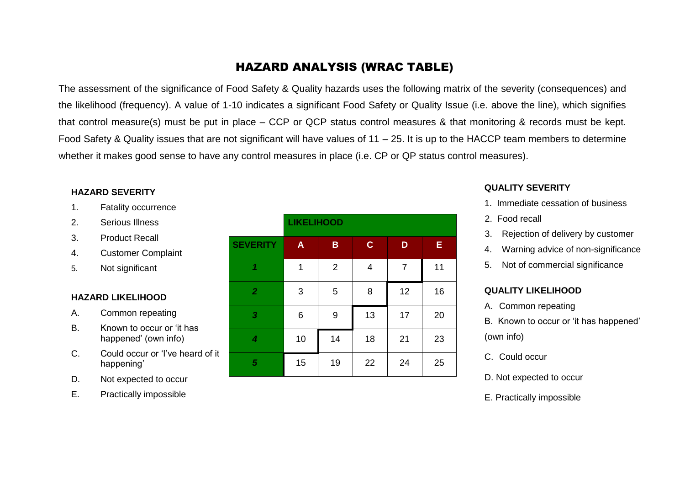# HAZARD ANALYSIS (WRAC TABLE)

The assessment of the significance of Food Safety & Quality hazards uses the following matrix of the severity (consequences) and the likelihood (frequency). A value of 1-10 indicates a significant Food Safety or Quality Issue (i.e. above the line), which signifies that control measure(s) must be put in place – CCP or QCP status control measures & that monitoring & records must be kept. Food Safety & Quality issues that are not significant will have values of 11 – 25. It is up to the HACCP team members to determine whether it makes good sense to have any control measures in place (i.e. CP or QP status control measures).

### **HAZARD SEVERITY**

- 1. Fatality occurrence
- 2. Serious Illness
- 3. Product Recall
- 4. Customer Complaint
- 5. Not significant

#### **HAZARD LIKELIHOOD**

- A. Common repeating
- B. Known to occur or 'it has happened' (own info)
- C. Could occur or 'I've heard of it happening'
- D. Not expected to occur
- E. Practically impossible

|                         | <b>LIKELIHOOD</b> |                |             |    |    |
|-------------------------|-------------------|----------------|-------------|----|----|
| <b>SEVERITY</b>         | $\mathsf{A}$      | $\mathbf B$    | $\mathbf C$ | D  | Ε  |
| 1                       | 1                 | $\overline{2}$ | 4           | 7  | 11 |
| $\overline{2}$          | 3                 | 5              | 8           | 12 | 16 |
| $\boldsymbol{3}$        | 6                 | 9              | 13          | 17 | 20 |
| $\overline{\mathbf{4}}$ | 10                | 14             | 18          | 21 | 23 |
| 5                       | 15                | 19             | 22          | 24 | 25 |

#### **QUALITY SEVERITY**

- 1. Immediate cessation of business
- 2. Food recall
- 3. Rejection of delivery by customer
- 4. Warning advice of non-significance
- 5. Not of commercial significance

#### **QUALITY LIKELIHOOD**

A. Common repeating

B. Known to occur or 'it has happened' (own info)

- C. Could occur
- D. Not expected to occur
- E. Practically impossible